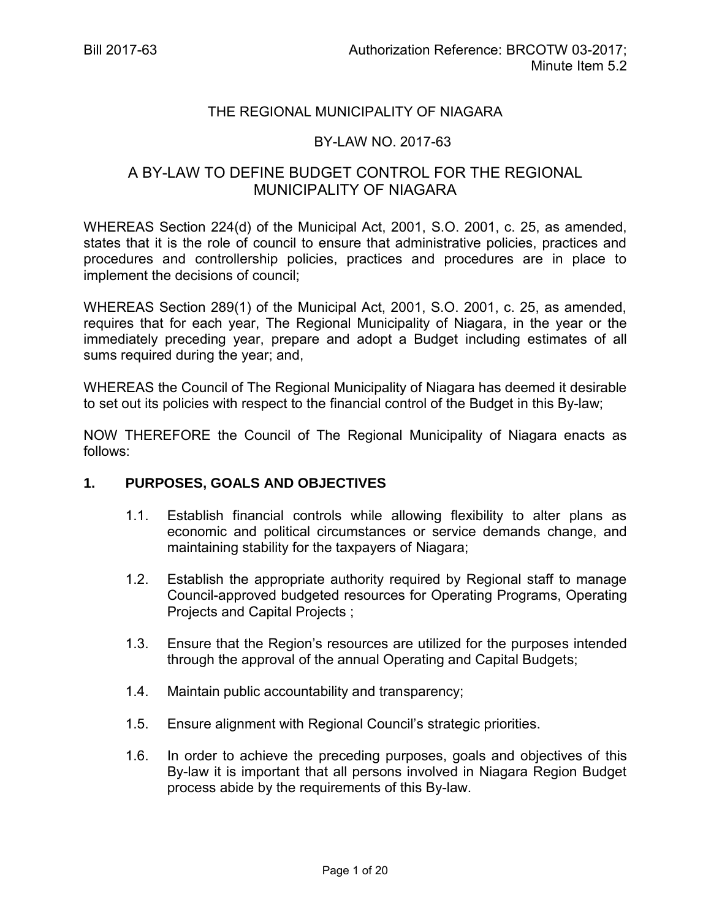#### THE REGIONAL MUNICIPALITY OF NIAGARA

#### BY-LAW NO. 2017-63

## A BY-LAW TO DEFINE BUDGET CONTROL FOR THE REGIONAL MUNICIPALITY OF NIAGARA

WHEREAS Section 224(d) of the Municipal Act, 2001, S.O. 2001, c. 25, as amended, states that it is the role of council to ensure that administrative policies, practices and procedures and controllership policies, practices and procedures are in place to implement the decisions of council;

WHEREAS Section 289(1) of the Municipal Act, 2001, S.O. 2001, c. 25, as amended, requires that for each year, The Regional Municipality of Niagara, in the year or the immediately preceding year, prepare and adopt a Budget including estimates of all sums required during the year; and,

WHEREAS the Council of The Regional Municipality of Niagara has deemed it desirable to set out its policies with respect to the financial control of the Budget in this By-law;

NOW THEREFORE the Council of The Regional Municipality of Niagara enacts as follows:

#### **1. PURPOSES, GOALS AND OBJECTIVES**

- 1.1. Establish financial controls while allowing flexibility to alter plans as economic and political circumstances or service demands change, and maintaining stability for the taxpayers of Niagara;
- 1.2. Establish the appropriate authority required by Regional staff to manage Council-approved budgeted resources for Operating Programs, Operating Projects and Capital Projects ;
- 1.3. Ensure that the Region's resources are utilized for the purposes intended through the approval of the annual Operating and Capital Budgets;
- 1.4. Maintain public accountability and transparency;
- 1.5. Ensure alignment with Regional Council's strategic priorities.
- 1.6. In order to achieve the preceding purposes, goals and objectives of this By-law it is important that all persons involved in Niagara Region Budget process abide by the requirements of this By-law.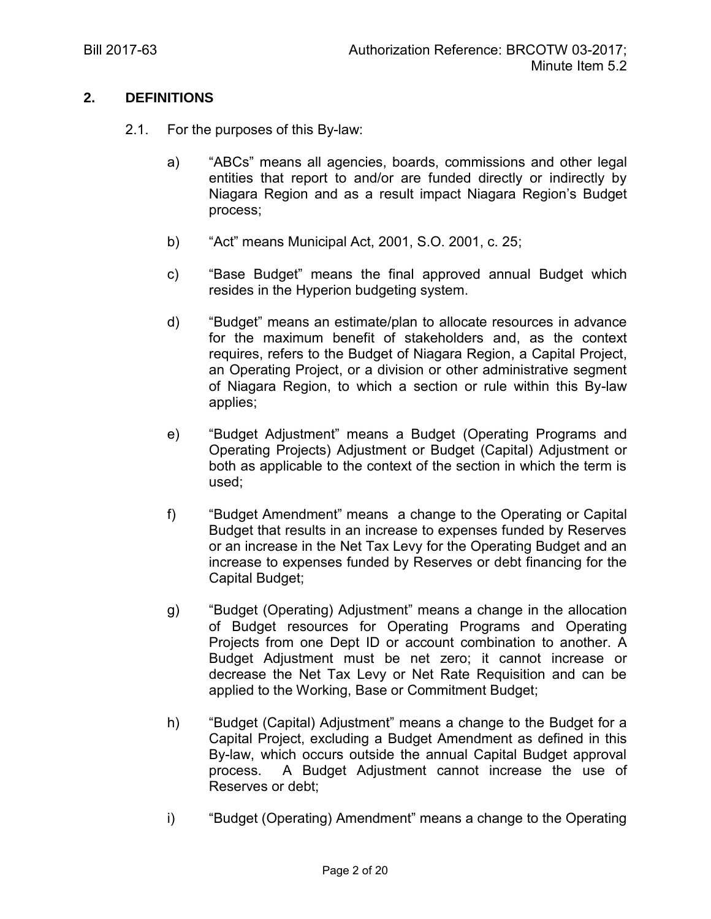## **2. DEFINITIONS**

- 2.1. For the purposes of this By-law:
	- a) "ABCs" means all agencies, boards, commissions and other legal entities that report to and/or are funded directly or indirectly by Niagara Region and as a result impact Niagara Region's Budget process;
	- b) "Act" means Municipal Act, 2001, S.O. 2001, c. 25;
	- c) "Base Budget" means the final approved annual Budget which resides in the Hyperion budgeting system.
	- d) "Budget" means an estimate/plan to allocate resources in advance for the maximum benefit of stakeholders and, as the context requires, refers to the Budget of Niagara Region, a Capital Project, an Operating Project, or a division or other administrative segment of Niagara Region, to which a section or rule within this By-law applies;
	- e) "Budget Adjustment" means a Budget (Operating Programs and Operating Projects) Adjustment or Budget (Capital) Adjustment or both as applicable to the context of the section in which the term is used;
	- f) "Budget Amendment" means a change to the Operating or Capital Budget that results in an increase to expenses funded by Reserves or an increase in the Net Tax Levy for the Operating Budget and an increase to expenses funded by Reserves or debt financing for the Capital Budget;
	- g) "Budget (Operating) Adjustment" means a change in the allocation of Budget resources for Operating Programs and Operating Projects from one Dept ID or account combination to another. A Budget Adjustment must be net zero; it cannot increase or decrease the Net Tax Levy or Net Rate Requisition and can be applied to the Working, Base or Commitment Budget;
	- h) "Budget (Capital) Adjustment" means a change to the Budget for a Capital Project, excluding a Budget Amendment as defined in this By-law, which occurs outside the annual Capital Budget approval process. A Budget Adjustment cannot increase the use of Reserves or debt;
	- i) "Budget (Operating) Amendment" means a change to the Operating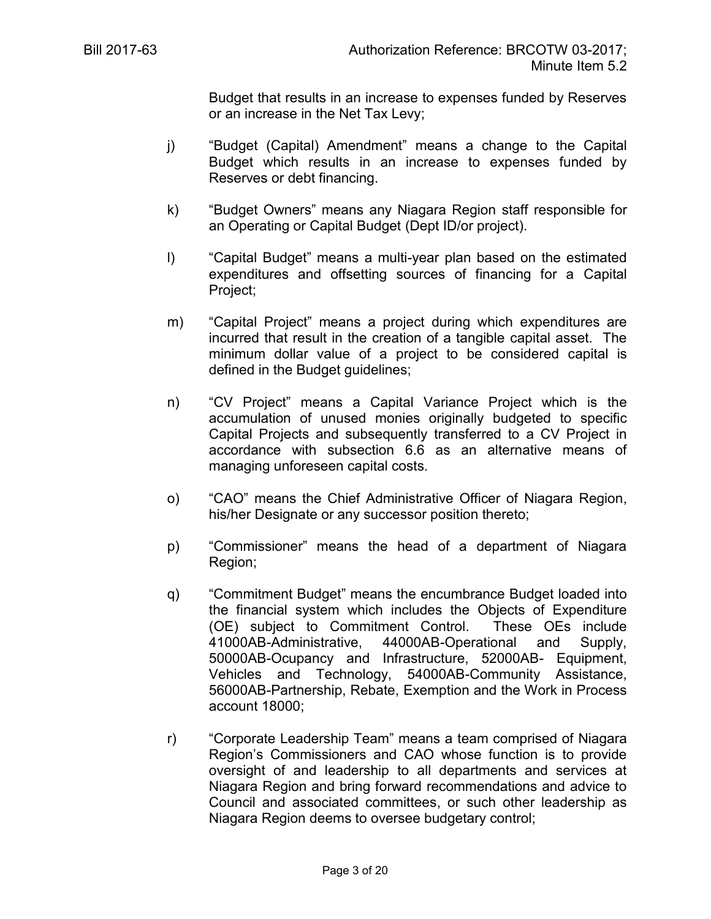Budget that results in an increase to expenses funded by Reserves or an increase in the Net Tax Levy;

- j) "Budget (Capital) Amendment" means a change to the Capital Budget which results in an increase to expenses funded by Reserves or debt financing.
- k) "Budget Owners" means any Niagara Region staff responsible for an Operating or Capital Budget (Dept ID/or project).
- l) "Capital Budget" means a multi-year plan based on the estimated expenditures and offsetting sources of financing for a Capital Project;
- m) "Capital Project" means a project during which expenditures are incurred that result in the creation of a tangible capital asset. The minimum dollar value of a project to be considered capital is defined in the Budget guidelines;
- n) "CV Project" means a Capital Variance Project which is the accumulation of unused monies originally budgeted to specific Capital Projects and subsequently transferred to a CV Project in accordance with subsection 6.6 as an alternative means of managing unforeseen capital costs.
- o) "CAO" means the Chief Administrative Officer of Niagara Region, his/her Designate or any successor position thereto;
- p) "Commissioner" means the head of a department of Niagara Region;
- q) "Commitment Budget" means the encumbrance Budget loaded into the financial system which includes the Objects of Expenditure (OE) subject to Commitment Control. These OEs include 41000AB-Administrative, 44000AB-Operational and Supply, 50000AB-Ocupancy and Infrastructure, 52000AB- Equipment, Vehicles and Technology, 54000AB-Community Assistance, 56000AB-Partnership, Rebate, Exemption and the Work in Process account 18000;
- r) "Corporate Leadership Team" means a team comprised of Niagara Region's Commissioners and CAO whose function is to provide oversight of and leadership to all departments and services at Niagara Region and bring forward recommendations and advice to Council and associated committees, or such other leadership as Niagara Region deems to oversee budgetary control;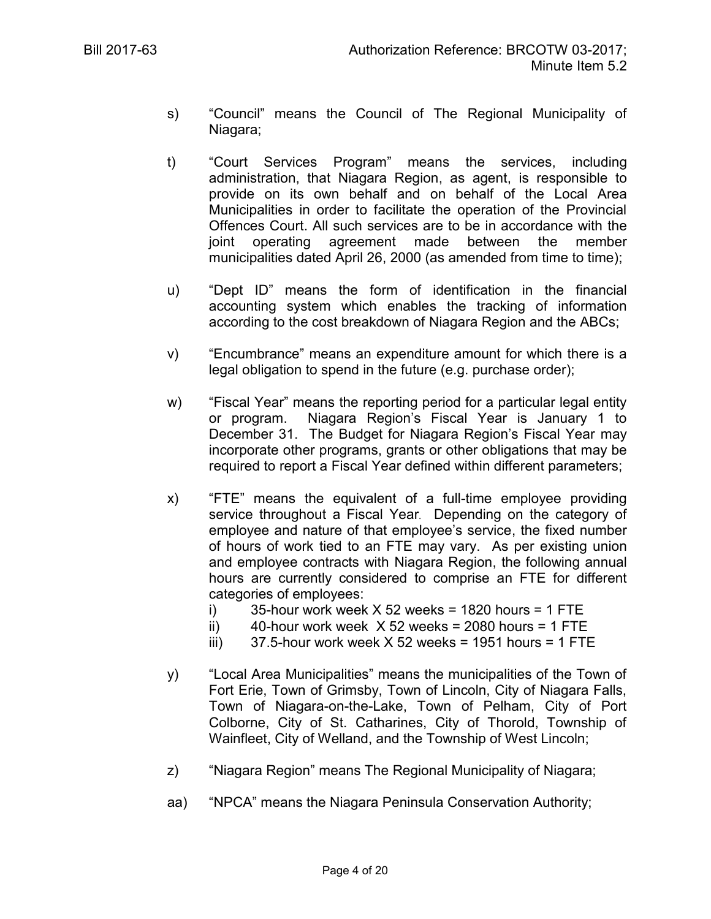- s) "Council" means the Council of The Regional Municipality of Niagara;
- t) "Court Services Program" means the services, including administration, that Niagara Region, as agent, is responsible to provide on its own behalf and on behalf of the Local Area Municipalities in order to facilitate the operation of the Provincial Offences Court. All such services are to be in accordance with the joint operating agreement made between the member municipalities dated April 26, 2000 (as amended from time to time);
- u) "Dept ID" means the form of identification in the financial accounting system which enables the tracking of information according to the cost breakdown of Niagara Region and the ABCs;
- v) "Encumbrance" means an expenditure amount for which there is a legal obligation to spend in the future (e.g. purchase order);
- w) "Fiscal Year" means the reporting period for a particular legal entity or program. Niagara Region's Fiscal Year is January 1 to December 31. The Budget for Niagara Region's Fiscal Year may incorporate other programs, grants or other obligations that may be required to report a Fiscal Year defined within different parameters;
- x) "FTE" means the equivalent of a full-time employee providing service throughout a Fiscal Year. Depending on the category of employee and nature of that employee's service, the fixed number of hours of work tied to an FTE may vary. As per existing union and employee contracts with Niagara Region, the following annual hours are currently considered to comprise an FTE for different categories of employees:
	- i) 35-hour work week  $X$  52 weeks = 1820 hours = 1 FTE
	- ii)  $40$ -hour work week  $X$  52 weeks = 2080 hours = 1 FTE
	- iii)  $37.5$ -hour work week X 52 weeks = 1951 hours = 1 FTE
- y) "Local Area Municipalities" means the municipalities of the Town of Fort Erie, Town of Grimsby, Town of Lincoln, City of Niagara Falls, Town of Niagara-on-the-Lake, Town of Pelham, City of Port Colborne, City of St. Catharines, City of Thorold, Township of Wainfleet, City of Welland, and the Township of West Lincoln;
- z) "Niagara Region" means The Regional Municipality of Niagara;
- aa) "NPCA" means the Niagara Peninsula Conservation Authority;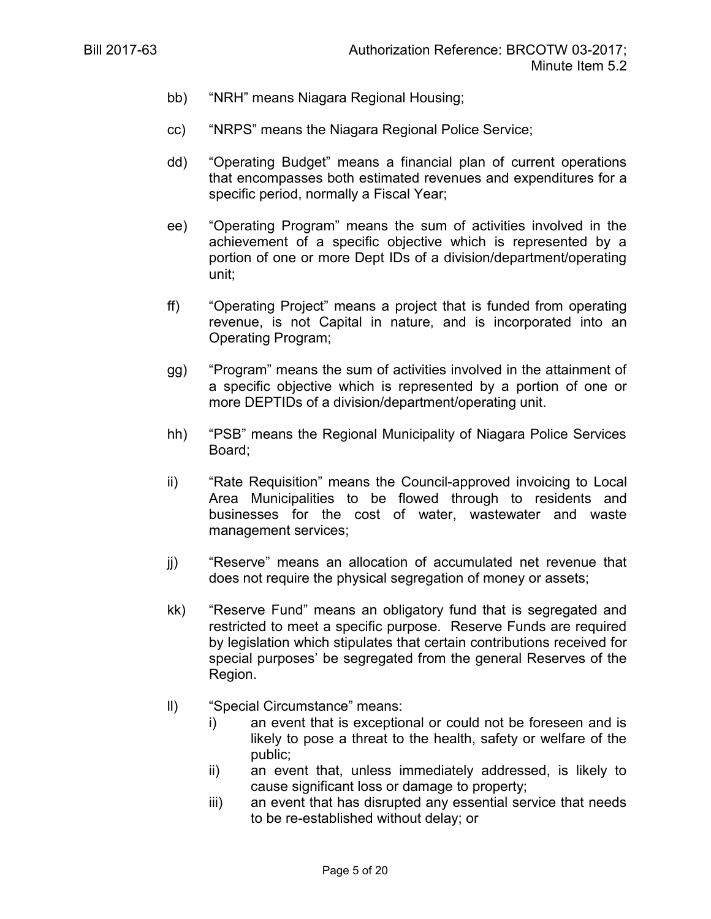- bb) "NRH" means Niagara Regional Housing;
- cc) "NRPS" means the Niagara Regional Police Service;
- dd) "Operating Budget" means a financial plan of current operations that encompasses both estimated revenues and expenditures for a specific period, normally a Fiscal Year;
- ee) "Operating Program" means the sum of activities involved in the achievement of a specific objective which is represented by a portion of one or more Dept IDs of a division/department/operating unit;
- ff) "Operating Project" means a project that is funded from operating revenue, is not Capital in nature, and is incorporated into an Operating Program;
- gg) "Program" means the sum of activities involved in the attainment of a specific objective which is represented by a portion of one or more DEPTIDs of a division/department/operating unit.
- hh) "PSB" means the Regional Municipality of Niagara Police Services Board;
- ii) "Rate Requisition" means the Council-approved invoicing to Local Area Municipalities to be flowed through to residents and businesses for the cost of water, wastewater and waste management services;
- jj) "Reserve" means an allocation of accumulated net revenue that does not require the physical segregation of money or assets;
- kk) "Reserve Fund" means an obligatory fund that is segregated and restricted to meet a specific purpose. Reserve Funds are required by legislation which stipulates that certain contributions received for special purposes' be segregated from the general Reserves of the Region.
- ll) "Special Circumstance" means:
	- i) an event that is exceptional or could not be foreseen and is likely to pose a threat to the health, safety or welfare of the public;
	- ii) an event that, unless immediately addressed, is likely to cause significant loss or damage to property;
	- iii) an event that has disrupted any essential service that needs to be re-established without delay; or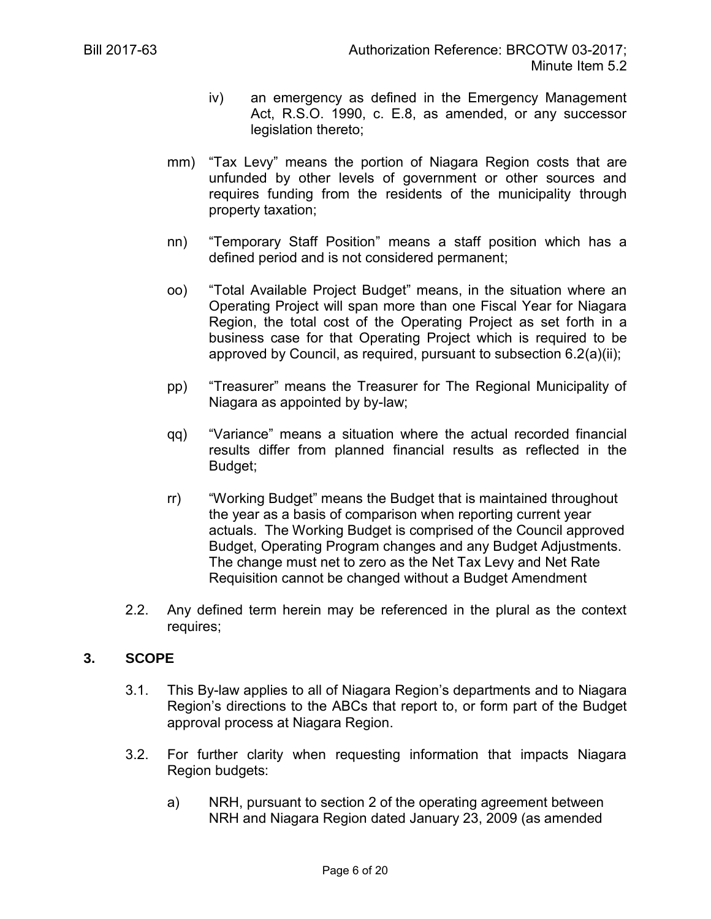- iv) an emergency as defined in the Emergency Management Act, R.S.O. 1990, c. E.8, as amended, or any successor legislation thereto;
- mm) "Tax Levy" means the portion of Niagara Region costs that are unfunded by other levels of government or other sources and requires funding from the residents of the municipality through property taxation;
- nn) "Temporary Staff Position" means a staff position which has a defined period and is not considered permanent;
- oo) "Total Available Project Budget" means, in the situation where an Operating Project will span more than one Fiscal Year for Niagara Region, the total cost of the Operating Project as set forth in a business case for that Operating Project which is required to be approved by Council, as required, pursuant to subsection 6.2(a)(ii);
- pp) "Treasurer" means the Treasurer for The Regional Municipality of Niagara as appointed by by-law;
- qq) "Variance" means a situation where the actual recorded financial results differ from planned financial results as reflected in the Budget;
- rr) "Working Budget" means the Budget that is maintained throughout the year as a basis of comparison when reporting current year actuals. The Working Budget is comprised of the Council approved Budget, Operating Program changes and any Budget Adjustments. The change must net to zero as the Net Tax Levy and Net Rate Requisition cannot be changed without a Budget Amendment
- 2.2. Any defined term herein may be referenced in the plural as the context requires;

#### **3. SCOPE**

- 3.1. This By-law applies to all of Niagara Region's departments and to Niagara Region's directions to the ABCs that report to, or form part of the Budget approval process at Niagara Region.
- 3.2. For further clarity when requesting information that impacts Niagara Region budgets:
	- a) NRH, pursuant to section 2 of the operating agreement between NRH and Niagara Region dated January 23, 2009 (as amended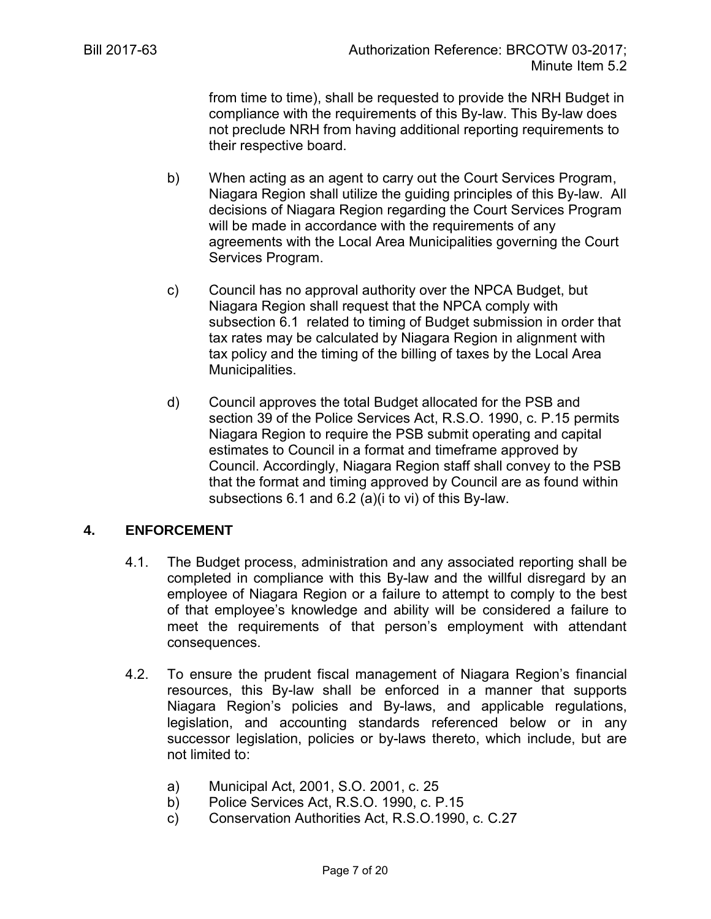from time to time), shall be requested to provide the NRH Budget in compliance with the requirements of this By-law. This By-law does not preclude NRH from having additional reporting requirements to their respective board.

- b) When acting as an agent to carry out the Court Services Program, Niagara Region shall utilize the guiding principles of this By-law. All decisions of Niagara Region regarding the Court Services Program will be made in accordance with the requirements of any agreements with the Local Area Municipalities governing the Court Services Program.
- c) Council has no approval authority over the NPCA Budget, but Niagara Region shall request that the NPCA comply with subsection 6.1 related to timing of Budget submission in order that tax rates may be calculated by Niagara Region in alignment with tax policy and the timing of the billing of taxes by the Local Area Municipalities.
- d) Council approves the total Budget allocated for the PSB and section 39 of the Police Services Act, R.S.O. 1990, c. P.15 permits Niagara Region to require the PSB submit operating and capital estimates to Council in a format and timeframe approved by Council. Accordingly, Niagara Region staff shall convey to the PSB that the format and timing approved by Council are as found within subsections 6.1 and 6.2 (a)(i to vi) of this By-law.

## **4. ENFORCEMENT**

- 4.1. The Budget process, administration and any associated reporting shall be completed in compliance with this By-law and the willful disregard by an employee of Niagara Region or a failure to attempt to comply to the best of that employee's knowledge and ability will be considered a failure to meet the requirements of that person's employment with attendant consequences.
- 4.2. To ensure the prudent fiscal management of Niagara Region's financial resources, this By-law shall be enforced in a manner that supports Niagara Region's policies and By-laws, and applicable regulations, legislation, and accounting standards referenced below or in any successor legislation, policies or by-laws thereto, which include, but are not limited to:
	- a) Municipal Act, 2001, S.O. 2001, c. 25
	- b) Police Services Act, R.S.O. 1990, c. P.15
	- c) Conservation Authorities Act, R.S.O.1990, c. C.27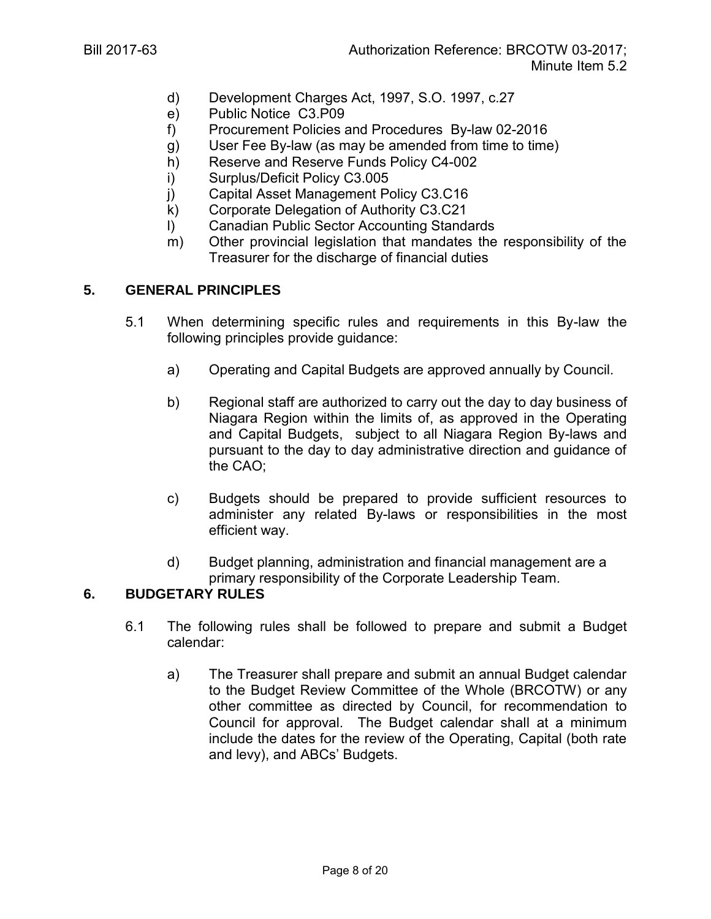- d) Development Charges Act, 1997, S.O. 1997, c.27
- e) Public Notice C3.P09
- f) Procurement Policies and Procedures By-law 02-2016
- g) User Fee By-law (as may be amended from time to time)
- h) Reserve and Reserve Funds Policy C4-002
- i) Surplus/Deficit Policy C3.005
- j) Capital Asset Management Policy C3.C16
- k) Corporate Delegation of Authority C3.C21
- l) Canadian Public Sector Accounting Standards
- m) Other provincial legislation that mandates the responsibility of the Treasurer for the discharge of financial duties

## **5. GENERAL PRINCIPLES**

- 5.1 When determining specific rules and requirements in this By-law the following principles provide guidance:
	- a) Operating and Capital Budgets are approved annually by Council.
	- b) Regional staff are authorized to carry out the day to day business of Niagara Region within the limits of, as approved in the Operating and Capital Budgets, subject to all Niagara Region By-laws and pursuant to the day to day administrative direction and guidance of the CAO;
	- c) Budgets should be prepared to provide sufficient resources to administer any related By-laws or responsibilities in the most efficient way.
	- d) Budget planning, administration and financial management are a primary responsibility of the Corporate Leadership Team.

# **6. BUDGETARY RULES**

- 6.1 The following rules shall be followed to prepare and submit a Budget calendar:
	- a) The Treasurer shall prepare and submit an annual Budget calendar to the Budget Review Committee of the Whole (BRCOTW) or any other committee as directed by Council, for recommendation to Council for approval. The Budget calendar shall at a minimum include the dates for the review of the Operating, Capital (both rate and levy), and ABCs' Budgets.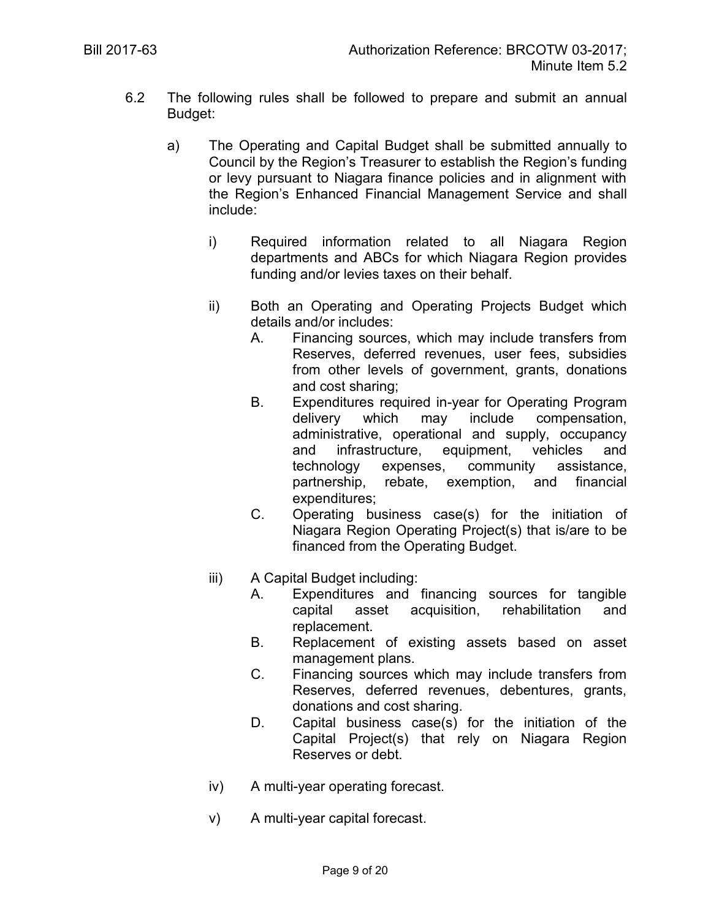- 6.2 The following rules shall be followed to prepare and submit an annual Budget:
	- a) The Operating and Capital Budget shall be submitted annually to Council by the Region's Treasurer to establish the Region's funding or levy pursuant to Niagara finance policies and in alignment with the Region's Enhanced Financial Management Service and shall include:
		- i) Required information related to all Niagara Region departments and ABCs for which Niagara Region provides funding and/or levies taxes on their behalf.
		- ii) Both an Operating and Operating Projects Budget which details and/or includes:
			- A. Financing sources, which may include transfers from Reserves, deferred revenues, user fees, subsidies from other levels of government, grants, donations and cost sharing;
			- B. Expenditures required in-year for Operating Program delivery which may include compensation, administrative, operational and supply, occupancy and infrastructure, equipment, vehicles and technology expenses, community assistance, partnership, rebate, exemption, and financial expenditures;
			- C. Operating business case(s) for the initiation of Niagara Region Operating Project(s) that is/are to be financed from the Operating Budget.
		- iii) A Capital Budget including:
			- A. Expenditures and financing sources for tangible capital asset acquisition, rehabilitation and replacement.
			- B. Replacement of existing assets based on asset management plans.
			- C. Financing sources which may include transfers from Reserves, deferred revenues, debentures, grants, donations and cost sharing.
			- D. Capital business case(s) for the initiation of the Capital Project(s) that rely on Niagara Region Reserves or debt.
		- iv) A multi-year operating forecast.
		- v) A multi-year capital forecast.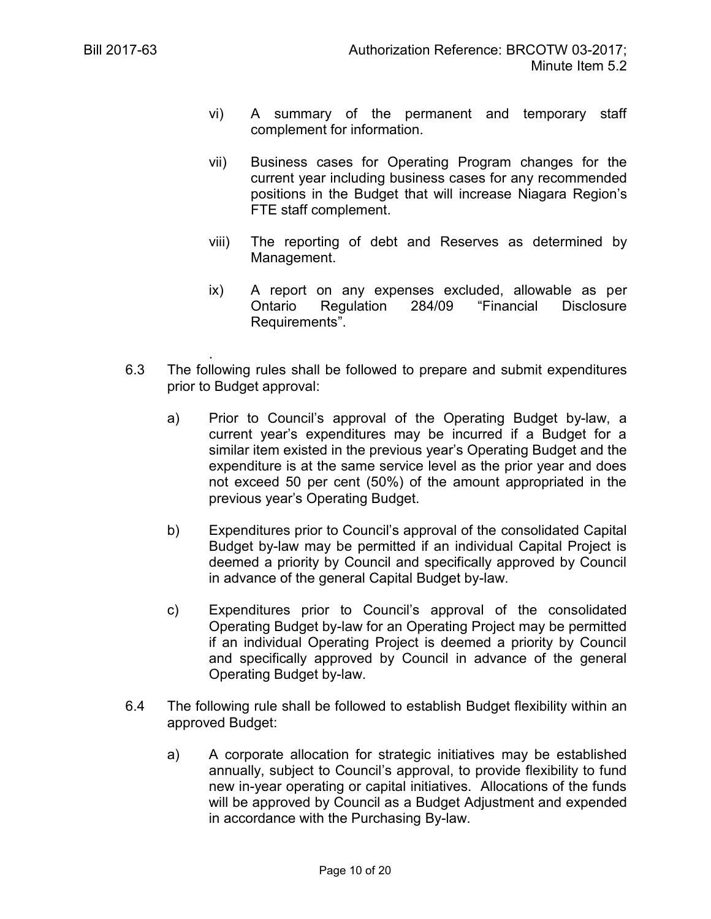- vi) A summary of the permanent and temporary staff complement for information.
- vii) Business cases for Operating Program changes for the current year including business cases for any recommended positions in the Budget that will increase Niagara Region's FTE staff complement.
- viii) The reporting of debt and Reserves as determined by Management.
- ix) A report on any expenses excluded, allowable as per Ontario Regulation 284/09 "Financial Disclosure Requirements".
- . 6.3 The following rules shall be followed to prepare and submit expenditures prior to Budget approval:
	- a) Prior to Council's approval of the Operating Budget by-law, a current year's expenditures may be incurred if a Budget for a similar item existed in the previous year's Operating Budget and the expenditure is at the same service level as the prior year and does not exceed 50 per cent (50%) of the amount appropriated in the previous year's Operating Budget.
	- b) Expenditures prior to Council's approval of the consolidated Capital Budget by-law may be permitted if an individual Capital Project is deemed a priority by Council and specifically approved by Council in advance of the general Capital Budget by-law.
	- c) Expenditures prior to Council's approval of the consolidated Operating Budget by-law for an Operating Project may be permitted if an individual Operating Project is deemed a priority by Council and specifically approved by Council in advance of the general Operating Budget by-law.
- 6.4 The following rule shall be followed to establish Budget flexibility within an approved Budget:
	- a) A corporate allocation for strategic initiatives may be established annually, subject to Council's approval, to provide flexibility to fund new in-year operating or capital initiatives. Allocations of the funds will be approved by Council as a Budget Adjustment and expended in accordance with the Purchasing By-law.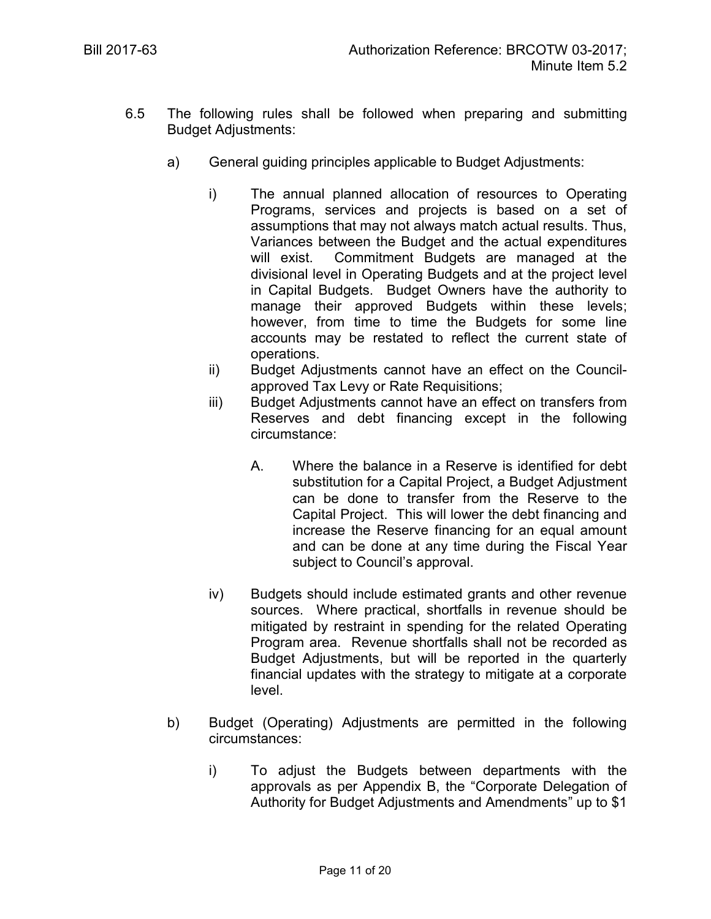- 6.5 The following rules shall be followed when preparing and submitting Budget Adjustments:
	- a) General guiding principles applicable to Budget Adjustments:
		- i) The annual planned allocation of resources to Operating Programs, services and projects is based on a set of assumptions that may not always match actual results. Thus, Variances between the Budget and the actual expenditures will exist. Commitment Budgets are managed at the divisional level in Operating Budgets and at the project level in Capital Budgets. Budget Owners have the authority to manage their approved Budgets within these levels; however, from time to time the Budgets for some line accounts may be restated to reflect the current state of operations.
		- ii) Budget Adjustments cannot have an effect on the Councilapproved Tax Levy or Rate Requisitions;
		- iii) Budget Adjustments cannot have an effect on transfers from Reserves and debt financing except in the following circumstance:
			- A. Where the balance in a Reserve is identified for debt substitution for a Capital Project, a Budget Adjustment can be done to transfer from the Reserve to the Capital Project. This will lower the debt financing and increase the Reserve financing for an equal amount and can be done at any time during the Fiscal Year subject to Council's approval.
		- iv) Budgets should include estimated grants and other revenue sources. Where practical, shortfalls in revenue should be mitigated by restraint in spending for the related Operating Program area. Revenue shortfalls shall not be recorded as Budget Adjustments, but will be reported in the quarterly financial updates with the strategy to mitigate at a corporate level.
	- b) Budget (Operating) Adjustments are permitted in the following circumstances:
		- i) To adjust the Budgets between departments with the approvals as per Appendix B, the "Corporate Delegation of Authority for Budget Adjustments and Amendments" up to \$1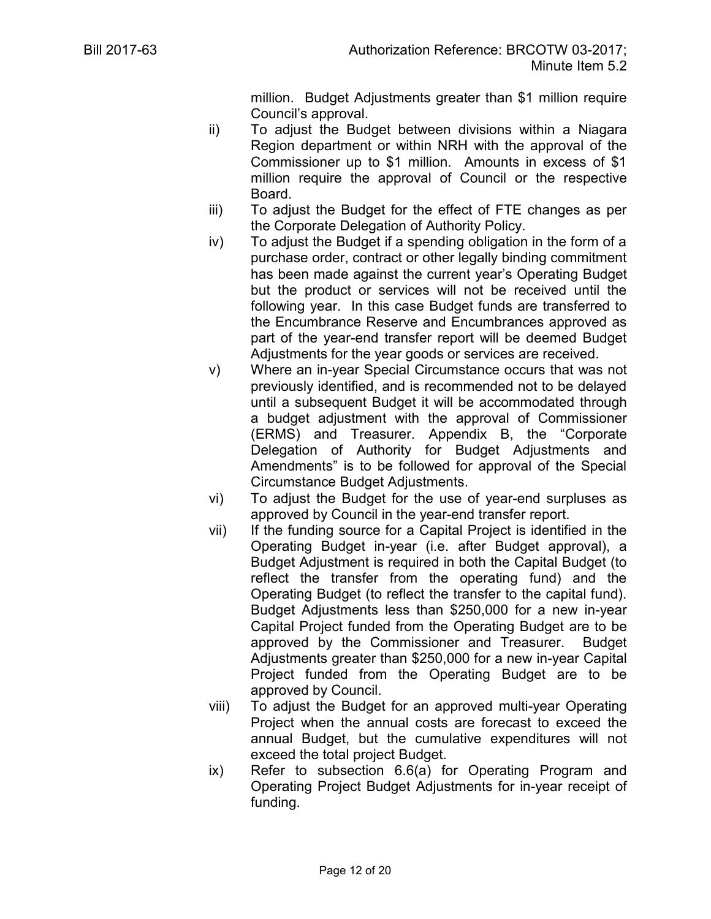million. Budget Adjustments greater than \$1 million require Council's approval.

- ii) To adjust the Budget between divisions within a Niagara Region department or within NRH with the approval of the Commissioner up to \$1 million. Amounts in excess of \$1 million require the approval of Council or the respective Board.
- iii) To adjust the Budget for the effect of FTE changes as per the Corporate Delegation of Authority Policy.
- iv) To adjust the Budget if a spending obligation in the form of a purchase order, contract or other legally binding commitment has been made against the current year's Operating Budget but the product or services will not be received until the following year. In this case Budget funds are transferred to the Encumbrance Reserve and Encumbrances approved as part of the year-end transfer report will be deemed Budget Adjustments for the year goods or services are received.
- v) Where an in-year Special Circumstance occurs that was not previously identified, and is recommended not to be delayed until a subsequent Budget it will be accommodated through a budget adjustment with the approval of Commissioner (ERMS) and Treasurer. Appendix B, the "Corporate Delegation of Authority for Budget Adjustments and Amendments" is to be followed for approval of the Special Circumstance Budget Adjustments.
- vi) To adjust the Budget for the use of year-end surpluses as approved by Council in the year-end transfer report.
- vii) If the funding source for a Capital Project is identified in the Operating Budget in-year (i.e. after Budget approval), a Budget Adjustment is required in both the Capital Budget (to reflect the transfer from the operating fund) and the Operating Budget (to reflect the transfer to the capital fund). Budget Adjustments less than \$250,000 for a new in-year Capital Project funded from the Operating Budget are to be approved by the Commissioner and Treasurer. Budget Adjustments greater than \$250,000 for a new in-year Capital Project funded from the Operating Budget are to be approved by Council.
- viii) To adjust the Budget for an approved multi-year Operating Project when the annual costs are forecast to exceed the annual Budget, but the cumulative expenditures will not exceed the total project Budget.
- ix) Refer to subsection 6.6(a) for Operating Program and Operating Project Budget Adjustments for in-year receipt of funding.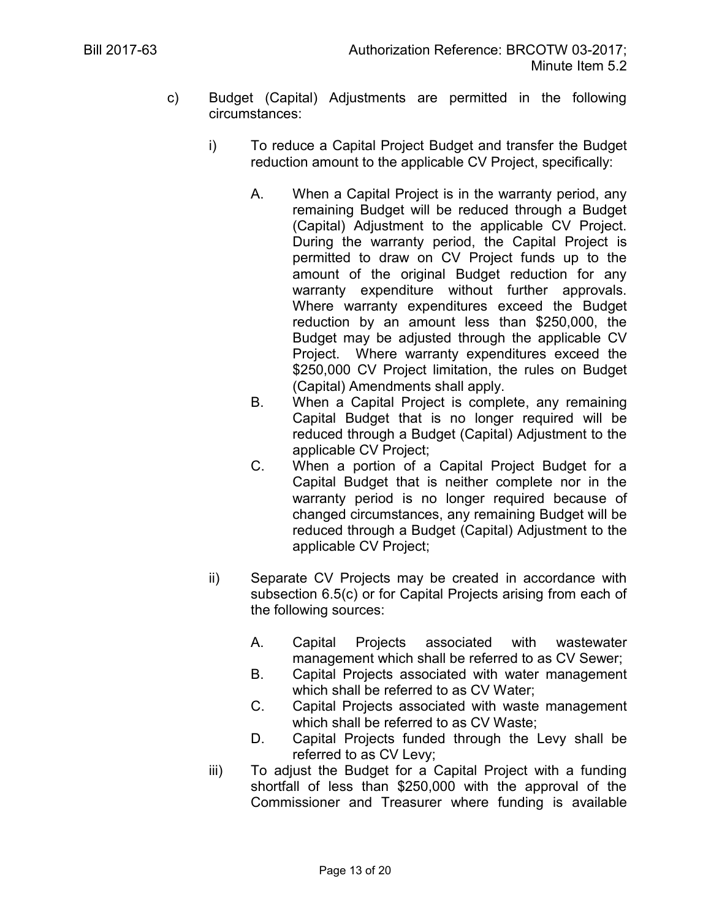- c) Budget (Capital) Adjustments are permitted in the following circumstances:
	- i) To reduce a Capital Project Budget and transfer the Budget reduction amount to the applicable CV Project, specifically:
		- A. When a Capital Project is in the warranty period, any remaining Budget will be reduced through a Budget (Capital) Adjustment to the applicable CV Project. During the warranty period, the Capital Project is permitted to draw on CV Project funds up to the amount of the original Budget reduction for any warranty expenditure without further approvals. Where warranty expenditures exceed the Budget reduction by an amount less than \$250,000, the Budget may be adjusted through the applicable CV Project. Where warranty expenditures exceed the \$250,000 CV Project limitation, the rules on Budget (Capital) Amendments shall apply.
		- B. When a Capital Project is complete, any remaining Capital Budget that is no longer required will be reduced through a Budget (Capital) Adjustment to the applicable CV Project;
		- C. When a portion of a Capital Project Budget for a Capital Budget that is neither complete nor in the warranty period is no longer required because of changed circumstances, any remaining Budget will be reduced through a Budget (Capital) Adjustment to the applicable CV Project;
	- ii) Separate CV Projects may be created in accordance with subsection 6.5(c) or for Capital Projects arising from each of the following sources:
		- A. Capital Projects associated with wastewater management which shall be referred to as CV Sewer;
		- B. Capital Projects associated with water management which shall be referred to as CV Water;
		- C. Capital Projects associated with waste management which shall be referred to as CV Waste;
		- D. Capital Projects funded through the Levy shall be referred to as CV Levy;
	- iii) To adjust the Budget for a Capital Project with a funding shortfall of less than \$250,000 with the approval of the Commissioner and Treasurer where funding is available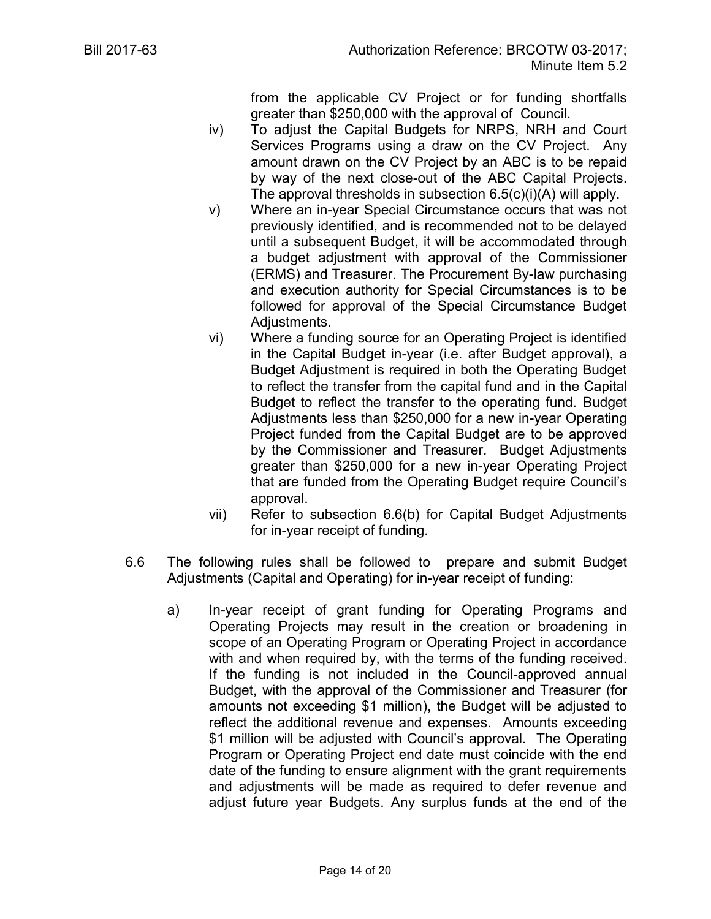from the applicable CV Project or for funding shortfalls greater than \$250,000 with the approval of Council.

- iv) To adjust the Capital Budgets for NRPS, NRH and Court Services Programs using a draw on the CV Project. Any amount drawn on the CV Project by an ABC is to be repaid by way of the next close-out of the ABC Capital Projects. The approval thresholds in subsection 6.5(c)(i)(A) will apply.
- v) Where an in-year Special Circumstance occurs that was not previously identified, and is recommended not to be delayed until a subsequent Budget, it will be accommodated through a budget adjustment with approval of the Commissioner (ERMS) and Treasurer. The Procurement By-law purchasing and execution authority for Special Circumstances is to be followed for approval of the Special Circumstance Budget Adjustments.
- vi) Where a funding source for an Operating Project is identified in the Capital Budget in-year (i.e. after Budget approval), a Budget Adjustment is required in both the Operating Budget to reflect the transfer from the capital fund and in the Capital Budget to reflect the transfer to the operating fund. Budget Adjustments less than \$250,000 for a new in-year Operating Project funded from the Capital Budget are to be approved by the Commissioner and Treasurer. Budget Adjustments greater than \$250,000 for a new in-year Operating Project that are funded from the Operating Budget require Council's approval.
- vii) Refer to subsection 6.6(b) for Capital Budget Adjustments for in-year receipt of funding.
- 6.6 The following rules shall be followed to prepare and submit Budget Adjustments (Capital and Operating) for in-year receipt of funding:
	- a) In-year receipt of grant funding for Operating Programs and Operating Projects may result in the creation or broadening in scope of an Operating Program or Operating Project in accordance with and when required by, with the terms of the funding received. If the funding is not included in the Council-approved annual Budget, with the approval of the Commissioner and Treasurer (for amounts not exceeding \$1 million), the Budget will be adjusted to reflect the additional revenue and expenses. Amounts exceeding \$1 million will be adjusted with Council's approval. The Operating Program or Operating Project end date must coincide with the end date of the funding to ensure alignment with the grant requirements and adjustments will be made as required to defer revenue and adjust future year Budgets. Any surplus funds at the end of the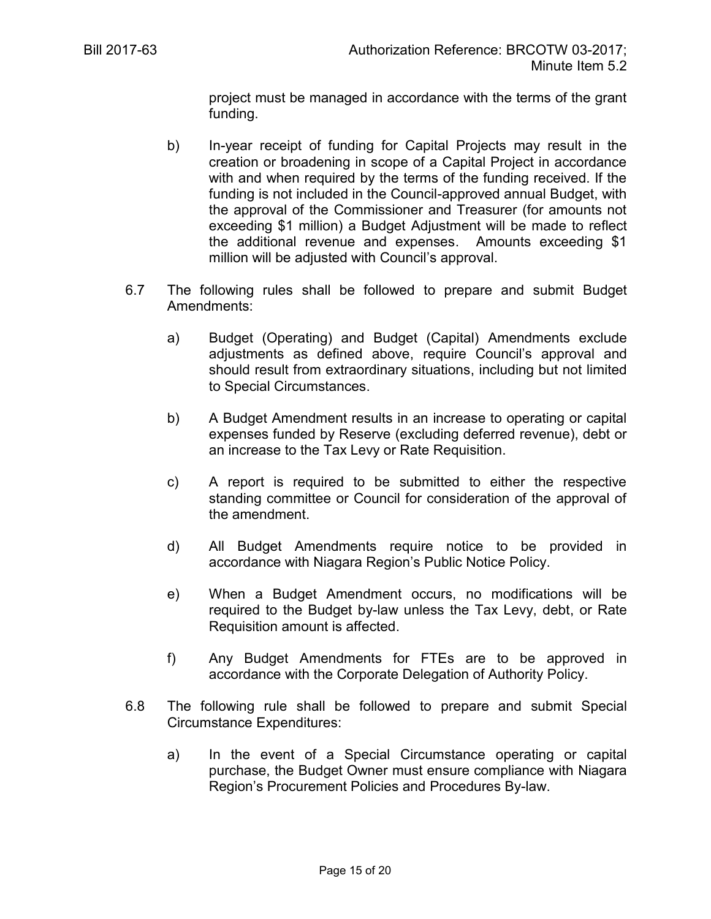project must be managed in accordance with the terms of the grant funding.

- b) In-year receipt of funding for Capital Projects may result in the creation or broadening in scope of a Capital Project in accordance with and when required by the terms of the funding received. If the funding is not included in the Council-approved annual Budget, with the approval of the Commissioner and Treasurer (for amounts not exceeding \$1 million) a Budget Adjustment will be made to reflect the additional revenue and expenses. Amounts exceeding \$1 million will be adjusted with Council's approval.
- 6.7 The following rules shall be followed to prepare and submit Budget Amendments:
	- a) Budget (Operating) and Budget (Capital) Amendments exclude adjustments as defined above, require Council's approval and should result from extraordinary situations, including but not limited to Special Circumstances.
	- b) A Budget Amendment results in an increase to operating or capital expenses funded by Reserve (excluding deferred revenue), debt or an increase to the Tax Levy or Rate Requisition.
	- c) A report is required to be submitted to either the respective standing committee or Council for consideration of the approval of the amendment.
	- d) All Budget Amendments require notice to be provided in accordance with Niagara Region's Public Notice Policy.
	- e) When a Budget Amendment occurs, no modifications will be required to the Budget by-law unless the Tax Levy, debt, or Rate Requisition amount is affected.
	- f) Any Budget Amendments for FTEs are to be approved in accordance with the Corporate Delegation of Authority Policy.
- 6.8 The following rule shall be followed to prepare and submit Special Circumstance Expenditures:
	- a) In the event of a Special Circumstance operating or capital purchase, the Budget Owner must ensure compliance with Niagara Region's Procurement Policies and Procedures By-law.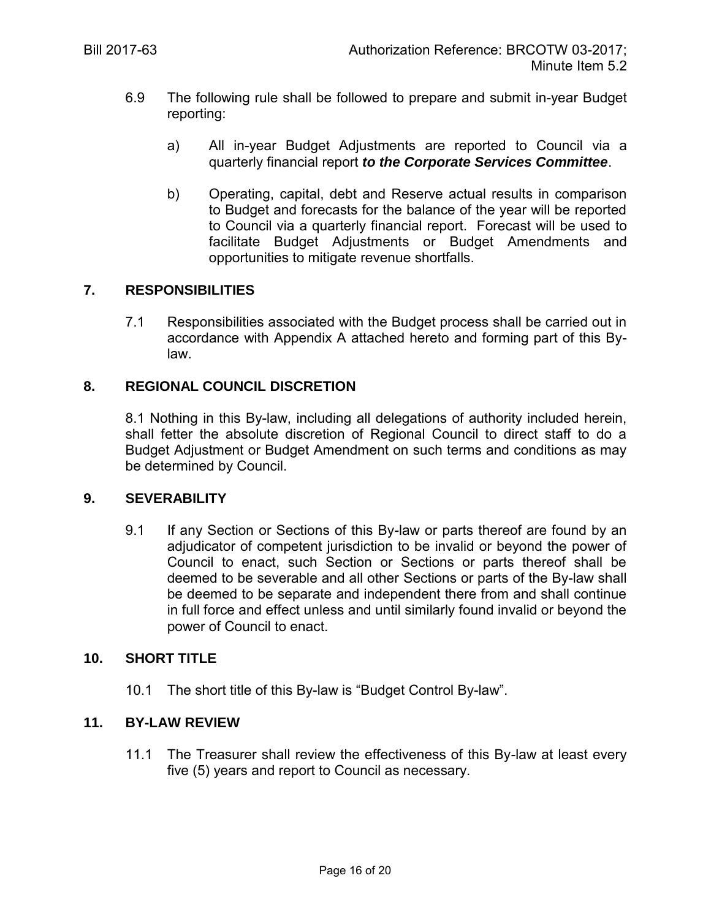- 6.9 The following rule shall be followed to prepare and submit in-year Budget reporting:
	- a) All in-year Budget Adjustments are reported to Council via a quarterly financial report *to the Corporate Services Committee*.
	- b) Operating, capital, debt and Reserve actual results in comparison to Budget and forecasts for the balance of the year will be reported to Council via a quarterly financial report. Forecast will be used to facilitate Budget Adjustments or Budget Amendments and opportunities to mitigate revenue shortfalls.

## **7. RESPONSIBILITIES**

7.1 Responsibilities associated with the Budget process shall be carried out in accordance with Appendix A attached hereto and forming part of this Bylaw.

## **8. REGIONAL COUNCIL DISCRETION**

8.1 Nothing in this By-law, including all delegations of authority included herein, shall fetter the absolute discretion of Regional Council to direct staff to do a Budget Adjustment or Budget Amendment on such terms and conditions as may be determined by Council.

#### **9. SEVERABILITY**

9.1 If any Section or Sections of this By-law or parts thereof are found by an adjudicator of competent jurisdiction to be invalid or beyond the power of Council to enact, such Section or Sections or parts thereof shall be deemed to be severable and all other Sections or parts of the By-law shall be deemed to be separate and independent there from and shall continue in full force and effect unless and until similarly found invalid or beyond the power of Council to enact.

## **10. SHORT TITLE**

10.1 The short title of this By-law is "Budget Control By-law".

## **11. BY-LAW REVIEW**

11.1 The Treasurer shall review the effectiveness of this By-law at least every five (5) years and report to Council as necessary.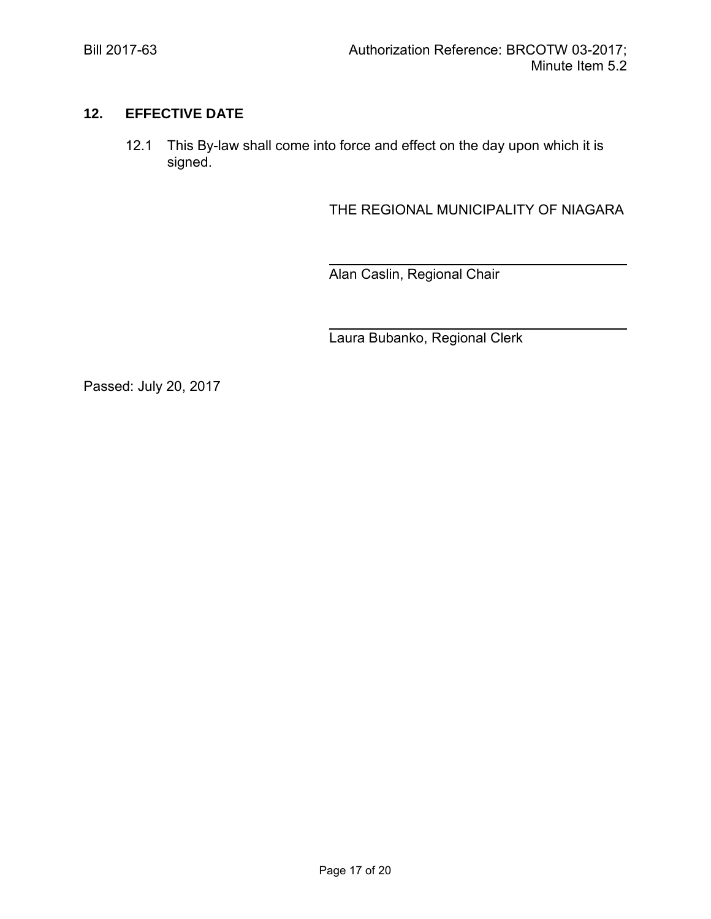# **12. EFFECTIVE DATE**

12.1 This By-law shall come into force and effect on the day upon which it is signed.

THE REGIONAL MUNICIPALITY OF NIAGARA

 $\ddot{\phantom{a}}$ Alan Caslin, Regional Chair

 $\ddot{\phantom{a}}$ Laura Bubanko, Regional Clerk

Passed: July 20, 2017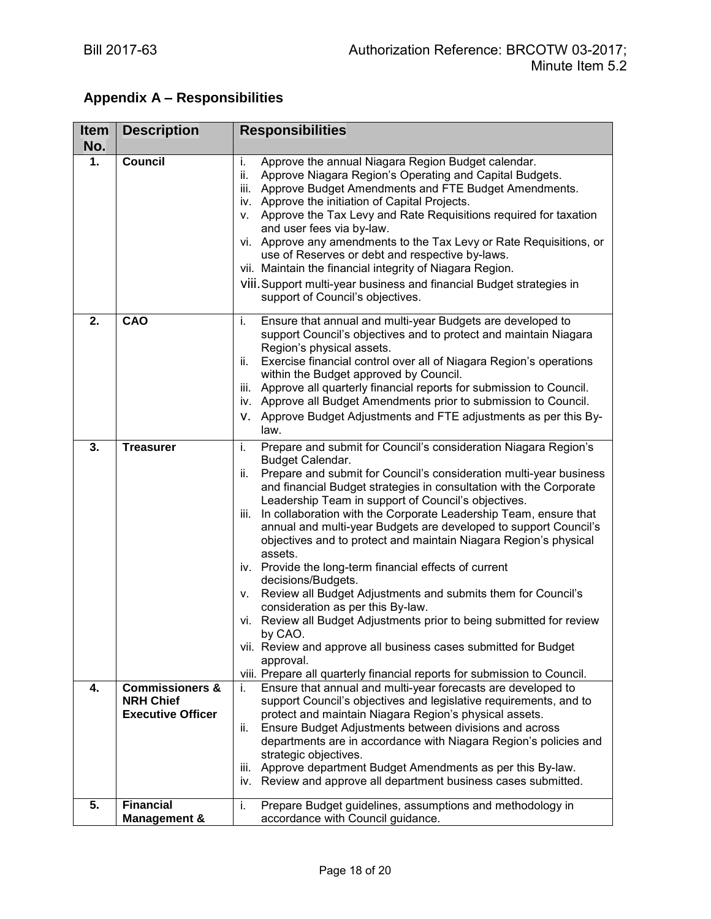# **Appendix A – Responsibilities**

| <b>Item</b><br>No. | <b>Description</b>                                                         | <b>Responsibilities</b>                                                                                                                                                                                                                                                                                                                                                                                                                                                                                                                                                                                                                                                                                                                                                                                                                                                                                                                                                    |  |  |
|--------------------|----------------------------------------------------------------------------|----------------------------------------------------------------------------------------------------------------------------------------------------------------------------------------------------------------------------------------------------------------------------------------------------------------------------------------------------------------------------------------------------------------------------------------------------------------------------------------------------------------------------------------------------------------------------------------------------------------------------------------------------------------------------------------------------------------------------------------------------------------------------------------------------------------------------------------------------------------------------------------------------------------------------------------------------------------------------|--|--|
| 1.                 | <b>Council</b>                                                             | Approve the annual Niagara Region Budget calendar.<br>i.<br>Approve Niagara Region's Operating and Capital Budgets.<br>ii.<br>Approve Budget Amendments and FTE Budget Amendments.<br>iii.<br>iv. Approve the initiation of Capital Projects.<br>Approve the Tax Levy and Rate Requisitions required for taxation<br>V.<br>and user fees via by-law.<br>vi. Approve any amendments to the Tax Levy or Rate Requisitions, or<br>use of Reserves or debt and respective by-laws.<br>vii. Maintain the financial integrity of Niagara Region.<br>VIII. Support multi-year business and financial Budget strategies in<br>support of Council's objectives.                                                                                                                                                                                                                                                                                                                     |  |  |
| 2.                 | CAO                                                                        | Ensure that annual and multi-year Budgets are developed to<br>i.<br>support Council's objectives and to protect and maintain Niagara<br>Region's physical assets.<br>Exercise financial control over all of Niagara Region's operations<br>ii.<br>within the Budget approved by Council.<br>iii. Approve all quarterly financial reports for submission to Council.<br>iv. Approve all Budget Amendments prior to submission to Council.<br>V. Approve Budget Adjustments and FTE adjustments as per this By-<br>law.                                                                                                                                                                                                                                                                                                                                                                                                                                                      |  |  |
| 3.                 | <b>Treasurer</b>                                                           | Prepare and submit for Council's consideration Niagara Region's<br>i.<br>Budget Calendar.<br>Prepare and submit for Council's consideration multi-year business<br>ii.<br>and financial Budget strategies in consultation with the Corporate<br>Leadership Team in support of Council's objectives.<br>iii. In collaboration with the Corporate Leadership Team, ensure that<br>annual and multi-year Budgets are developed to support Council's<br>objectives and to protect and maintain Niagara Region's physical<br>assets.<br>iv. Provide the long-term financial effects of current<br>decisions/Budgets.<br>Review all Budget Adjustments and submits them for Council's<br>V.<br>consideration as per this By-law.<br>vi. Review all Budget Adjustments prior to being submitted for review<br>by CAO.<br>vii. Review and approve all business cases submitted for Budget<br>approval.<br>viii. Prepare all quarterly financial reports for submission to Council. |  |  |
| 4.                 | <b>Commissioners &amp;</b><br><b>NRH Chief</b><br><b>Executive Officer</b> | Ensure that annual and multi-year forecasts are developed to<br>i.<br>support Council's objectives and legislative requirements, and to<br>protect and maintain Niagara Region's physical assets.<br>Ensure Budget Adjustments between divisions and across<br>ii.<br>departments are in accordance with Niagara Region's policies and<br>strategic objectives.<br>Approve department Budget Amendments as per this By-law.<br>iii.<br>iv. Review and approve all department business cases submitted.                                                                                                                                                                                                                                                                                                                                                                                                                                                                     |  |  |
| 5.                 | <b>Financial</b><br><b>Management &amp;</b>                                | Prepare Budget guidelines, assumptions and methodology in<br>i.<br>accordance with Council guidance.                                                                                                                                                                                                                                                                                                                                                                                                                                                                                                                                                                                                                                                                                                                                                                                                                                                                       |  |  |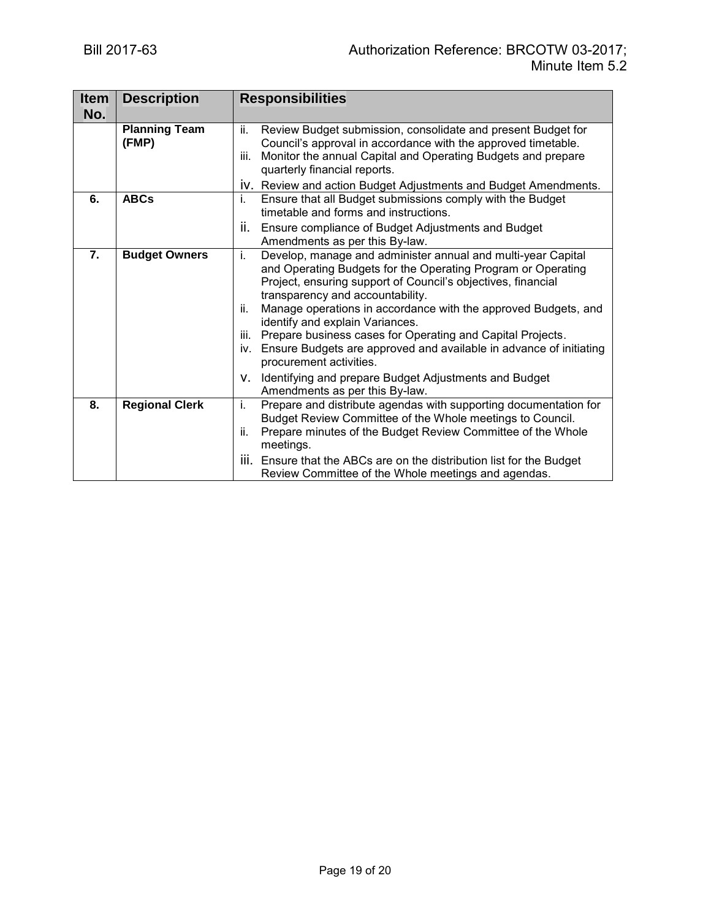| <b>Item</b> | <b>Description</b>            | <b>Responsibilities</b>                                                                                                                                                                                                                                                                                                                                                                                                                                                                                                          |  |  |
|-------------|-------------------------------|----------------------------------------------------------------------------------------------------------------------------------------------------------------------------------------------------------------------------------------------------------------------------------------------------------------------------------------------------------------------------------------------------------------------------------------------------------------------------------------------------------------------------------|--|--|
| No.         |                               |                                                                                                                                                                                                                                                                                                                                                                                                                                                                                                                                  |  |  |
|             | <b>Planning Team</b><br>(FMP) | Review Budget submission, consolidate and present Budget for<br>ii.<br>Council's approval in accordance with the approved timetable.<br>Monitor the annual Capital and Operating Budgets and prepare<br>iii.<br>quarterly financial reports.                                                                                                                                                                                                                                                                                     |  |  |
| 6.          | <b>ABCs</b>                   | IV. Review and action Budget Adjustments and Budget Amendments.<br>i.                                                                                                                                                                                                                                                                                                                                                                                                                                                            |  |  |
|             |                               | Ensure that all Budget submissions comply with the Budget<br>timetable and forms and instructions.                                                                                                                                                                                                                                                                                                                                                                                                                               |  |  |
|             |                               | ii.<br>Ensure compliance of Budget Adjustments and Budget<br>Amendments as per this By-law.                                                                                                                                                                                                                                                                                                                                                                                                                                      |  |  |
| 7.          | <b>Budget Owners</b>          | i.<br>Develop, manage and administer annual and multi-year Capital<br>and Operating Budgets for the Operating Program or Operating<br>Project, ensuring support of Council's objectives, financial<br>transparency and accountability.<br>Manage operations in accordance with the approved Budgets, and<br>ii.<br>identify and explain Variances.<br>Prepare business cases for Operating and Capital Projects.<br>iii.<br>Ensure Budgets are approved and available in advance of initiating<br>iv.<br>procurement activities. |  |  |
|             |                               | Identifying and prepare Budget Adjustments and Budget<br>v.<br>Amendments as per this By-law.                                                                                                                                                                                                                                                                                                                                                                                                                                    |  |  |
| 8.          | <b>Regional Clerk</b>         | Prepare and distribute agendas with supporting documentation for<br>i.<br>Budget Review Committee of the Whole meetings to Council.<br>Prepare minutes of the Budget Review Committee of the Whole<br>ii.<br>meetings.<br>iii. Ensure that the ABCs are on the distribution list for the Budget                                                                                                                                                                                                                                  |  |  |
|             |                               | Review Committee of the Whole meetings and agendas.                                                                                                                                                                                                                                                                                                                                                                                                                                                                              |  |  |